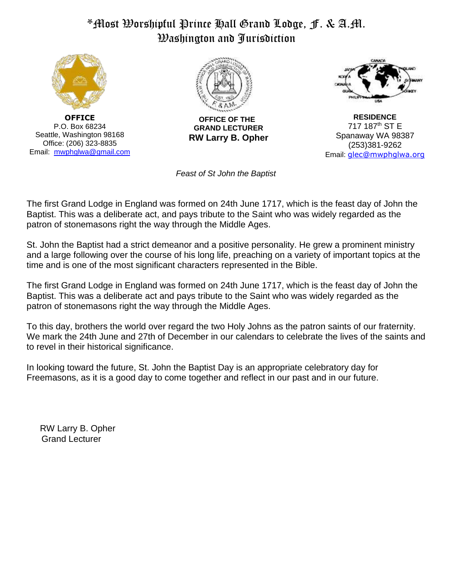## \*Most Worshipful Prince Hall Grand Lodge, F. & A.M. Washington and Jurisdiction



**OFFICE** P.O. Box 68234 Seattle, Washington 98168 Office: (206) 323-8835 Email: [mwphglwa@gmail.com](mailto:mwphglwa@gmail.com) 



 **OFFICE OF THE GRAND LECTURER RW Larry B. Opher**

**RESIDENCE** 717 187th ST E Spanaway WA 98387 (253)381-9262 Email: glec@mwphglwa.org

 *Feast of St John the Baptist*

The first Grand Lodge in England was formed on 24th June 1717, which is the feast day of John the Baptist. This was a deliberate act, and pays tribute to the Saint who was widely regarded as the patron of stonemasons right the way through the Middle Ages.

St. John the Baptist had a strict demeanor and a positive personality. He grew a prominent ministry and a large following over the course of his long life, preaching on a variety of important topics at the time and is one of the most significant characters represented in the Bible.

The first Grand Lodge in England was formed on 24th June 1717, which is the feast day of John the Baptist. This was a deliberate act and pays tribute to the Saint who was widely regarded as the patron of stonemasons right the way through the Middle Ages.

To this day, brothers the world over regard the two Holy Johns as the patron saints of our fraternity. We mark the 24th June and 27th of December in our calendars to celebrate the lives of the saints and to revel in their historical significance.

In looking toward the future, St. John the Baptist Day is an appropriate celebratory day for Freemasons, as it is a good day to come together and reflect in our past and in our future.

RW Larry B. Opher Grand Lecturer